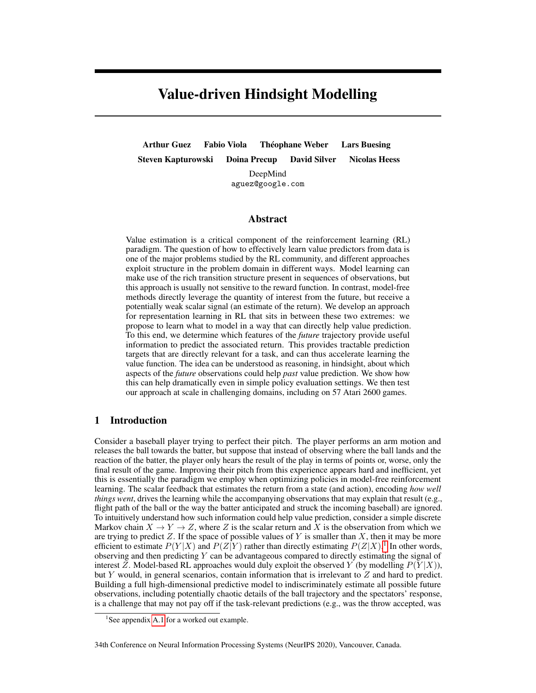# Value-driven Hindsight Modelling

Arthur Guez Fabio Viola Théophane Weber Lars Buesing Steven Kapturowski Doina Precup David Silver Nicolas Heess DeepMind aguez@google.com

#### Abstract

Value estimation is a critical component of the reinforcement learning (RL) paradigm. The question of how to effectively learn value predictors from data is one of the major problems studied by the RL community, and different approaches exploit structure in the problem domain in different ways. Model learning can make use of the rich transition structure present in sequences of observations, but this approach is usually not sensitive to the reward function. In contrast, model-free methods directly leverage the quantity of interest from the future, but receive a potentially weak scalar signal (an estimate of the return). We develop an approach for representation learning in RL that sits in between these two extremes: we propose to learn what to model in a way that can directly help value prediction. To this end, we determine which features of the *future* trajectory provide useful information to predict the associated return. This provides tractable prediction targets that are directly relevant for a task, and can thus accelerate learning the value function. The idea can be understood as reasoning, in hindsight, about which aspects of the *future* observations could help *past* value prediction. We show how this can help dramatically even in simple policy evaluation settings. We then test our approach at scale in challenging domains, including on 57 Atari 2600 games.

## 1 Introduction

Consider a baseball player trying to perfect their pitch. The player performs an arm motion and releases the ball towards the batter, but suppose that instead of observing where the ball lands and the reaction of the batter, the player only hears the result of the play in terms of points or, worse, only the final result of the game. Improving their pitch from this experience appears hard and inefficient, yet this is essentially the paradigm we employ when optimizing policies in model-free reinforcement learning. The scalar feedback that estimates the return from a state (and action), encoding *how well things went*, drives the learning while the accompanying observations that may explain that result (e.g., flight path of the ball or the way the batter anticipated and struck the incoming baseball) are ignored. To intuitively understand how such information could help value prediction, consider a simple discrete Markov chain  $X \to Y \to Z$ , where Z is the scalar return and X is the observation from which we are trying to predict Z. If the space of possible values of Y is smaller than X, then it may be more efficient to estimate  $P(Y|X)$  and  $P(Z|Y)$  rather than directly estimating  $P(Z|X)$ .<sup>[1](#page-0-0)</sup> In other words, observing and then predicting  $Y$  can be advantageous compared to directly estimating the signal of interest Z. Model-based RL approaches would duly exploit the observed Y (by modelling  $P(Y|X)$ ), but Y would, in general scenarios, contain information that is irrelevant to  $Z$  and hard to predict. Building a full high-dimensional predictive model to indiscriminately estimate all possible future observations, including potentially chaotic details of the ball trajectory and the spectators' response, is a challenge that may not pay off if the task-relevant predictions (e.g., was the throw accepted, was

<span id="page-0-0"></span><sup>&</sup>lt;sup>1</sup>See appendix [A.1](#page--1-0) for a worked out example.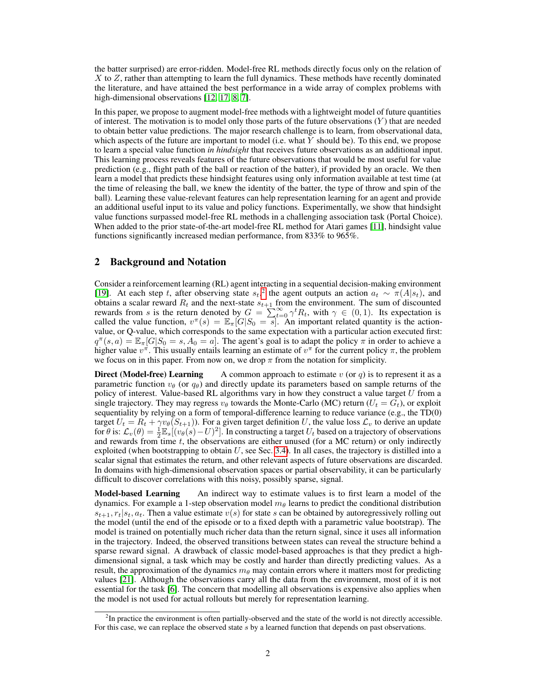the batter surprised) are error-ridden. Model-free RL methods directly focus only on the relation of  $X$  to  $Z$ , rather than attempting to learn the full dynamics. These methods have recently dominated the literature, and have attained the best performance in a wide array of complex problems with high-dimensional observations [\[12,](#page-9-0) [17,](#page-10-0) [8,](#page-9-1) [7\]](#page-9-2).

In this paper, we propose to augment model-free methods with a lightweight model of future quantities of interest. The motivation is to model only those parts of the future observations  $(Y)$  that are needed to obtain better value predictions. The major research challenge is to learn, from observational data, which aspects of the future are important to model (i.e. what Y should be). To this end, we propose to learn a special value function *in hindsight* that receives future observations as an additional input. This learning process reveals features of the future observations that would be most useful for value prediction (e.g., flight path of the ball or reaction of the batter), if provided by an oracle. We then learn a model that predicts these hindsight features using only information available at test time (at the time of releasing the ball, we knew the identity of the batter, the type of throw and spin of the ball). Learning these value-relevant features can help representation learning for an agent and provide an additional useful input to its value and policy functions. Experimentally, we show that hindsight value functions surpassed model-free RL methods in a challenging association task (Portal Choice). When added to the prior state-of-the-art model-free RL method for Atari games [\[11\]](#page-9-3), hindsight value functions significantly increased median performance, from 833% to 965%.

## 2 Background and Notation

Consider a reinforcement learning (RL) agent interacting in a sequential decision-making environment [\[19\]](#page-10-1). At each step t, after observing state  $s_t$ ,<sup>[2](#page-1-0)</sup> the agent outputs an action  $a_t \sim \pi(A|s_t)$ , and obtains a scalar reward  $R_t$  and the next-state  $s_{t+1}$  from the environment. The sum of discounted rewards from s is the return denoted by  $G = \sum_{t=0}^{+\infty} \gamma^t R_t$ , with  $\gamma \in (0,1)$ . Its expectation is called the value function,  $v^{\pi}(s) = \mathbb{E}_{\pi} [G|S_0 = s]$ . An important related quantity is the actionvalue, or Q-value, which corresponds to the same expectation with a particular action executed first:  $q^{\pi}(s, a) = \mathbb{E}_{\pi}[G|S_0 = s, A_0 = a]$ . The agent's goal is to adapt the policy  $\pi$  in order to achieve a higher value  $v^{\pi}$ . This usually entails learning an estimate of  $v^{\pi}$  for the current policy  $\pi$ , the problem we focus on in this paper. From now on, we drop  $\pi$  from the notation for simplicity.

**Direct (Model-free) Learning** A common approach to estimate v (or q) is to represent it as a parametric function  $v_{\theta}$  (or  $q_{\theta}$ ) and directly update its parameters based on sample returns of the policy of interest. Value-based RL algorithms vary in how they construct a value target  $U$  from a single trajectory. They may regress  $v_{\theta}$  towards the Monte-Carlo (MC) return ( $U_t = G_t$ ), or exploit sequentiality by relying on a form of temporal-difference learning to reduce variance (e.g., the TD(0) target  $U_t = R_t + \gamma v_\theta(S_{t+1})$ . For a given target definition U, the value loss  $\mathcal{L}_v$  to derive an update for  $\theta$  is:  $\mathcal{L}_v(\theta) = \frac{1}{2} \mathbb{E}_s[(v_\theta(s) - U)^2]$ . In constructing a target  $U_t$  based on a trajectory of observations and rewards from time  $t$ , the observations are either unused (for a MC return) or only indirectly exploited (when bootstrapping to obtain  $U$ , see Sec. [3.4\)](#page-3-0). In all cases, the trajectory is distilled into a scalar signal that estimates the return, and other relevant aspects of future observations are discarded. In domains with high-dimensional observation spaces or partial observability, it can be particularly difficult to discover correlations with this noisy, possibly sparse, signal.

**Model-based Learning** An indirect way to estimate values is to first learn a model of the dynamics. For example a 1-step observation model  $m_\theta$  learns to predict the conditional distribution  $s_{t+1}, r_t|s_t, a_t$ . Then a value estimate  $v(s)$  for state s can be obtained by autoregressively rolling out the model (until the end of the episode or to a fixed depth with a parametric value bootstrap). The model is trained on potentially much richer data than the return signal, since it uses all information in the trajectory. Indeed, the observed transitions between states can reveal the structure behind a sparse reward signal. A drawback of classic model-based approaches is that they predict a highdimensional signal, a task which may be costly and harder than directly predicting values. As a result, the approximation of the dynamics  $m_{\theta}$  may contain errors where it matters most for predicting values [\[21\]](#page-10-2). Although the observations carry all the data from the environment, most of it is not essential for the task [\[6\]](#page-9-4). The concern that modelling all observations is expensive also applies when the model is not used for actual rollouts but merely for representation learning.

<span id="page-1-0"></span><sup>&</sup>lt;sup>2</sup>In practice the environment is often partially-observed and the state of the world is not directly accessible. For this case, we can replace the observed state s by a learned function that depends on past observations.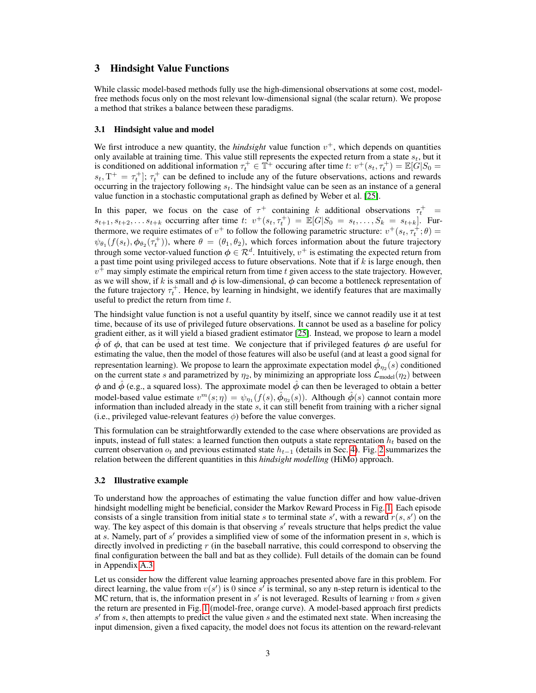### 3 Hindsight Value Functions

While classic model-based methods fully use the high-dimensional observations at some cost, modelfree methods focus only on the most relevant low-dimensional signal (the scalar return). We propose a method that strikes a balance between these paradigms.

#### 3.1 Hindsight value and model

We first introduce a new quantity, the *hindsight* value function  $v^+$ , which depends on quantities only available at training time. This value still represents the expected return from a state  $s_t$ , but it is conditioned on additional information  $\tau_t^+ \in \mathbb{T}^+$  occuring after time t:  $v^+(s_t, \tau_t^+) = \mathbb{E}[\tilde{G}|S_0 =$  $s_t$ ,  $T^+ = \tau_t^+$ ;  $\tau_t^+$  can be defined to include any of the future observations, actions and rewards occurring in the trajectory following  $s_t$ . The hindsight value can be seen as an instance of a general value function in a stochastic computational graph as defined by Weber et al. [\[25\]](#page-10-3).

In this paper, we focus on the case of  $\tau^+$  containing k additional observations  $\tau_t^+$  =  $s_{t+1}, s_{t+2}, \ldots s_{t+k}$  occurring after time t:  $v^+(s_t, \tau_t^+) = \mathbb{E}[G|S_0 = s_t, \ldots, S_k = s_{t+k}]$ . Furthermore, we require estimates of  $v^+$  to follow the following parametric structure:  $v^+(s_t, \tau_t^{\ddag}; \theta) =$  $\psi_{\theta_1}(f(s_t), \phi_{\theta_2}(\tau_t^+))$ , where  $\theta = (\theta_1, \theta_2)$ , which forces information about the future trajectory through some vector-valued function  $\phi \in \mathcal{R}^d$ . Intuitively,  $v^+$  is estimating the expected return from a past time point using privileged access to future observations. Note that if  $k$  is large enough, then  $v^{\hat{+}}$  may simply estimate the empirical return from time t given access to the state trajectory. However, as we will show, if k is small and  $\phi$  is low-dimensional,  $\phi$  can become a bottleneck representation of the future trajectory  $\tau_t^+$ . Hence, by learning in hindsight, we identify features that are maximally useful to predict the return from time  $t$ .

The hindsight value function is not a useful quantity by itself, since we cannot readily use it at test time, because of its use of privileged future observations. It cannot be used as a baseline for policy gradient either, as it will yield a biased gradient estimator [\[25\]](#page-10-3). Instead, we propose to learn a model  $\dot{\phi}$  of  $\phi$ , that can be used at test time. We conjecture that if privileged features  $\dot{\phi}$  are useful for estimating the value, then the model of those features will also be useful (and at least a good signal for representation learning). We propose to learn the approximate expectation model  $\hat{\phi}_{\eta_2}(s)$  conditioned on the current state s and parametrized by  $\eta_2$ , by minimizing an appropriate loss  $\mathcal{L}_{model}(\eta_2)$  between  $\phi$  and  $\dot{\phi}$  (e.g., a squared loss). The approximate model  $\dot{\phi}$  can then be leveraged to obtain a better model-based value estimate  $v^m(s;\eta) = \psi_{\eta_1}(f(s),\hat{\phi}_{\eta_2}(s))$ . Although  $\hat{\phi}(s)$  cannot contain more information than included already in the state  $s$ , it can still benefit from training with a richer signal (i.e., privileged value-relevant features  $\phi$ ) before the value converges.

This formulation can be straightforwardly extended to the case where observations are provided as inputs, instead of full states: a learned function then outputs a state representation  $h_t$  based on the current observation  $o_t$  and previous estimated state  $h_{t-1}$  (details in Sec. [4\)](#page-4-0). Fig. [2](#page-4-1) summarizes the relation between the different quantities in this *hindsight modelling* (HiMo) approach.

#### <span id="page-2-0"></span>3.2 Illustrative example

To understand how the approaches of estimating the value function differ and how value-driven hindsight modelling might be beneficial, consider the Markov Reward Process in Fig. [1.](#page-3-1) Each episode consists of a single transition from initial state s to terminal state s', with a reward  $r(s, s')$  on the way. The key aspect of this domain is that observing  $s'$  reveals structure that helps predict the value at s. Namely, part of  $s'$  provides a simplified view of some of the information present in  $s$ , which is directly involved in predicting r (in the baseball narrative, this could correspond to observing the final configuration between the ball and bat as they collide). Full details of the domain can be found in Appendix [A.3.](#page--1-1)

Let us consider how the different value learning approaches presented above fare in this problem. For direct learning, the value from  $v(s')$  is 0 since s' is terminal, so any n-step return is identical to the MC return, that is, the information present in  $s'$  is not leveraged. Results of learning v from s given the return are presented in Fig. [1](#page-3-1) (model-free, orange curve). A model-based approach first predicts  $s'$  from s, then attempts to predict the value given s and the estimated next state. When increasing the input dimension, given a fixed capacity, the model does not focus its attention on the reward-relevant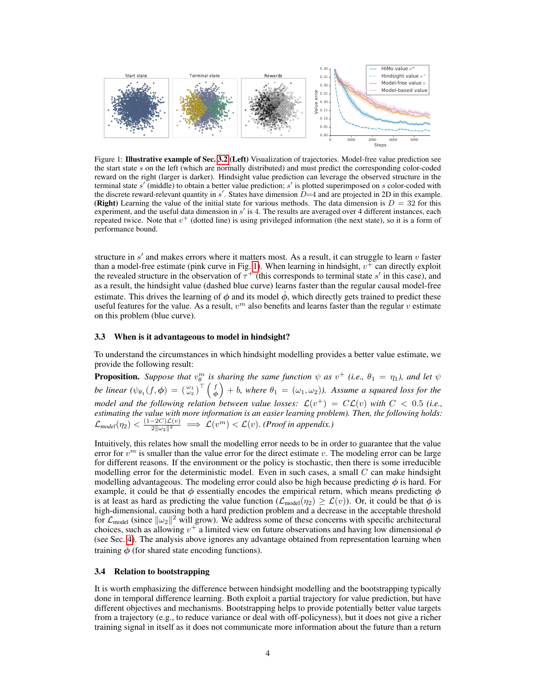<span id="page-3-1"></span>

Figure 1: Illustrative example of Sec. [3.2](#page-2-0) (Left) Visualization of trajectories. Model-free value prediction see the start state s on the left (which are normally distributed) and must predict the corresponding color-coded reward on the right (larger is darker). Hindsight value prediction can leverage the observed structure in the terminal state  $s'$  (middle) to obtain a better value prediction;  $s'$  is plotted superimposed on  $s$  color-coded with the discrete reward-relevant quantity in  $s'$ . States have dimension  $\bar{D}=4$  and are projected in 2D in this example. (Right) Learning the value of the initial state for various methods. The data dimension is  $D = 32$  for this experiment, and the useful data dimension in  $s'$  is 4. The results are averaged over 4 different instances, each repeated twice. Note that  $v^+$  (dotted line) is using privileged information (the next state), so it is a form of performance bound.

structure in  $s'$  and makes errors where it matters most. As a result, it can struggle to learn  $v$  faster than a model-free estimate (pink curve in Fig. [1\)](#page-3-1). When learning in hindsight,  $v^{\pm}$  can directly exploit the revealed structure in the observation of  $\tau^+$  (this corresponds to terminal state s' in this case), and as a result, the hindsight value (dashed blue curve) learns faster than the regular causal model-free estimate. This drives the learning of  $\phi$  and its model  $\dot{\phi}$ , which directly gets trained to predict these useful features for the value. As a result,  $v^m$  also benefits and learns faster than the regular v estimate on this problem (blue curve).

#### 3.3 When is it advantageous to model in hindsight?

To understand the circumstances in which hindsight modelling provides a better value estimate, we provide the following result:

**Proposition.** Suppose that  $v_{\theta}^{m}$  is sharing the same function  $\psi$  as  $v^{+}$  (i.e.,  $\theta_1 = \eta_1$ ), and let  $\psi$ *be linear*  $(\psi_{\theta_1}(f, \phi) = (\frac{\omega_1}{\omega_2})^{\top}(\frac{f}{\phi}) + b$ , where  $\theta_1 = (\omega_1, \omega_2)$ ). Assume a squared loss for the *model and the following relation between value losses:*  $\mathcal{L}(v^+) = C\mathcal{L}(v)$  with  $C < 0.5$  (i.e., *estimating the value with more information is an easier learning problem). Then, the following holds:*  $\mathcal{L}_{model}(\eta_2)<\frac{(1-2C)\mathcal{L}(v)}{2\|\omega_2\|^2}\implies\mathcal{L}(v^m)<\mathcal{L}(v).$  *(Proof in appendix.)* 

Intuitively, this relates how small the modelling error needs to be in order to guarantee that the value error for  $v^m$  is smaller than the value error for the direct estimate v. The modeling error can be large for different reasons. If the environment or the policy is stochastic, then there is some irreducible modelling error for the deterministic model. Even in such cases, a small  $C$  can make hindsight modelling advantageous. The modeling error could also be high because predicting  $\phi$  is hard. For example, it could be that  $\phi$  essentially encodes the empirical return, which means predicting  $\phi$ is at least as hard as predicting the value function ( $\mathcal{L}_{model}(\eta_2) \ge \mathcal{L}(v)$ ). Or, it could be that  $\phi$  is high-dimensional, causing both a hard prediction problem and a decrease in the acceptable threshold for  $\mathcal{L}_{\text{model}}$  (since  $\|\omega_2\|^2$  will grow). We address some of these concerns with specific architectural choices, such as allowing  $v^+$  a limited view on future observations and having low dimensional  $\phi$ (see Sec. [4\)](#page-4-0). The analysis above ignores any advantage obtained from representation learning when training  $\ddot{\phi}$  (for shared state encoding functions).

#### <span id="page-3-0"></span>3.4 Relation to bootstrapping

It is worth emphasizing the difference between hindsight modelling and the bootstrapping typically done in temporal difference learning. Both exploit a partial trajectory for value prediction, but have different objectives and mechanisms. Bootstrapping helps to provide potentially better value targets from a trajectory (e.g., to reduce variance or deal with off-policyness), but it does not give a richer training signal in itself as it does not communicate more information about the future than a return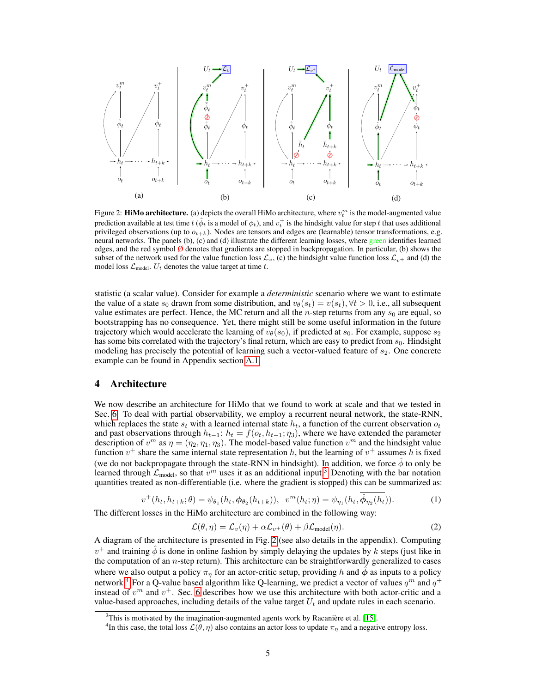<span id="page-4-1"></span>

Figure 2: **HiMo architecture.** (a) depicts the overall HiMo architecture, where  $v_t^m$  is the model-augmented value prediction available at test time  $t$  ( $\hat{\phi}_t$  is a model of  $\phi_t$ ), and  $v_t^+$  is the hindsight value for step  $t$  that uses additional privileged observations (up to  $o_{t+k}$ ). Nodes are tensors and edges are (learnable) tensor transformations, e.g. neural networks. The panels (b), (c) and (d) illustrate the different learning losses, where green identifies learned edges, and the red symbol  $\emptyset$  denotes that gradients are stopped in backpropagation. In particular, (b) shows the subset of the network used for the value function loss  $\mathcal{L}_v$ , (c) the hindsight value function loss  $\mathcal{L}_{v+}$  and (d) the model loss  $\mathcal{L}_{\text{model}}$ .  $U_t$  denotes the value target at time t.

statistic (a scalar value). Consider for example a *deterministic* scenario where we want to estimate the value of a state  $s_0$  drawn from some distribution, and  $v_\theta(s_t) = v(s_t), \forall t > 0$ , i.e., all subsequent value estimates are perfect. Hence, the MC return and all the  $n$ -step returns from any  $s<sub>0</sub>$  are equal, so bootstrapping has no consequence. Yet, there might still be some useful information in the future trajectory which would accelerate the learning of  $v_{\theta}(s_0)$ , if predicted at  $s_0$ . For example, suppose  $s_2$ has some bits correlated with the trajectory's final return, which are easy to predict from  $s_0$ . Hindsight modeling has precisely the potential of learning such a vector-valued feature of  $s_2$ . One concrete example can be found in Appendix section [A.1.](#page--1-0)

## <span id="page-4-0"></span>4 Architecture

We now describe an architecture for HiMo that we found to work at scale and that we tested in Sec. [6.](#page-5-0) To deal with partial observability, we employ a recurrent neural network, the state-RNN, which replaces the state  $s_t$  with a learned internal state  $h_t$ , a function of the current observation  $o_t$ and past observations through  $h_{t-1}: h_t = f(o_t, h_{t-1}; \eta_3)$ , where we have extended the parameter description of  $v^m$  as  $\eta = (\eta_2, \eta_1, \eta_3)$ . The model-based value function  $v^m$  and the hindsight value function  $v^+$  share the same internal state representation h, but the learning of  $v^+$  assumes h is fixed (we do not backpropagate through the state-RNN in hindsight). In addition, we force  $\phi$  to only be learned through  $\mathcal{L}_{model}$ , so that  $v^m$  uses it as an additional input.<sup>[3](#page-4-2)</sup> Denoting with the bar notation quantities treated as non-differentiable (i.e. where the gradient is stopped) this can be summarized as:

$$
v^+(h_t, h_{t+k}; \theta) = \psi_{\theta_1}(\overline{h_t}, \phi_{\theta_2}(\overline{h_{t+k}})), \quad v^m(h_t; \eta) = \psi_{\eta_1}(h_t, \hat{\phi}_{\eta_2}(h_t)). \tag{1}
$$

The different losses in the HiMo architecture are combined in the following way:

$$
\mathcal{L}(\theta, \eta) = \mathcal{L}_v(\eta) + \alpha \mathcal{L}_{v^+}(\theta) + \beta \mathcal{L}_{\text{model}}(\eta). \tag{2}
$$

A diagram of the architecture is presented in Fig. [2](#page-4-1) (see also details in the appendix). Computing  $v^+$  and training  $\hat{\phi}$  is done in online fashion by simply delaying the updates by k steps (just like in the computation of an n-step return). This architecture can be straightforwardly generalized to cases where we also output a policy  $\pi_{\eta}$  for an actor-critic setup, providing h and  $\ddot{\phi}$  as inputs to a policy network.<sup>[4](#page-4-3)</sup> For a Q-value based algorithm like Q-learning, we predict a vector of values  $q^m$  and  $q^+$ instead of  $v^m$  and  $v^+$ . Sec. [6](#page-5-0) describes how we use this architecture with both actor-critic and a value-based approaches, including details of the value target  $U_t$  and update rules in each scenario.

<span id="page-4-2"></span><sup>&</sup>lt;sup>3</sup>This is motivated by the imagination-augmented agents work by Racanière et al. [\[15\]](#page-10-4).

<span id="page-4-3"></span><sup>&</sup>lt;sup>4</sup>In this case, the total loss  $\mathcal{L}(\theta, \eta)$  also contains an actor loss to update  $\pi_{\eta}$  and a negative entropy loss.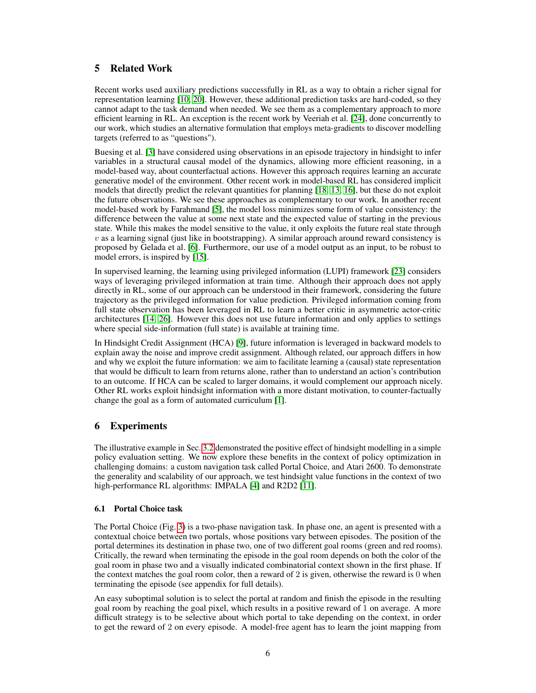# 5 Related Work

Recent works used auxiliary predictions successfully in RL as a way to obtain a richer signal for representation learning [\[10,](#page-9-5) [20\]](#page-10-5). However, these additional prediction tasks are hard-coded, so they cannot adapt to the task demand when needed. We see them as a complementary approach to more efficient learning in RL. An exception is the recent work by Veeriah et al. [\[24\]](#page-10-6), done concurrently to our work, which studies an alternative formulation that employs meta-gradients to discover modelling targets (referred to as "questions").

Buesing et al. [\[3\]](#page-9-6) have considered using observations in an episode trajectory in hindsight to infer variables in a structural causal model of the dynamics, allowing more efficient reasoning, in a model-based way, about counterfactual actions. However this approach requires learning an accurate generative model of the environment. Other recent work in model-based RL has considered implicit models that directly predict the relevant quantities for planning [\[18,](#page-10-7) [13,](#page-10-8) [16\]](#page-10-9), but these do not exploit the future observations. We see these approaches as complementary to our work. In another recent model-based work by Farahmand [\[5\]](#page-9-7), the model loss minimizes some form of value consistency: the difference between the value at some next state and the expected value of starting in the previous state. While this makes the model sensitive to the value, it only exploits the future real state through  $v$  as a learning signal (just like in bootstrapping). A similar approach around reward consistency is proposed by Gelada et al. [\[6\]](#page-9-4). Furthermore, our use of a model output as an input, to be robust to model errors, is inspired by [\[15\]](#page-10-4).

In supervised learning, the learning using privileged information (LUPI) framework [\[23\]](#page-10-10) considers ways of leveraging privileged information at train time. Although their approach does not apply directly in RL, some of our approach can be understood in their framework, considering the future trajectory as the privileged information for value prediction. Privileged information coming from full state observation has been leveraged in RL to learn a better critic in asymmetric actor-critic architectures [\[14,](#page-10-11) [26\]](#page-10-12). However this does not use future information and only applies to settings where special side-information (full state) is available at training time.

In Hindsight Credit Assignment (HCA) [\[9\]](#page-9-8), future information is leveraged in backward models to explain away the noise and improve credit assignment. Although related, our approach differs in how and why we exploit the future information: we aim to facilitate learning a (causal) state representation that would be difficult to learn from returns alone, rather than to understand an action's contribution to an outcome. If HCA can be scaled to larger domains, it would complement our approach nicely. Other RL works exploit hindsight information with a more distant motivation, to counter-factually change the goal as a form of automated curriculum [\[1\]](#page-9-9).

# <span id="page-5-0"></span>6 Experiments

The illustrative example in Sec. [3.2](#page-2-0) demonstrated the positive effect of hindsight modelling in a simple policy evaluation setting. We now explore these benefits in the context of policy optimization in challenging domains: a custom navigation task called Portal Choice, and Atari 2600. To demonstrate the generality and scalability of our approach, we test hindsight value functions in the context of two high-performance RL algorithms: IMPALA [\[4\]](#page-9-10) and R2D2 [\[11\]](#page-9-3).

## 6.1 Portal Choice task

The Portal Choice (Fig. [3\)](#page-6-0) is a two-phase navigation task. In phase one, an agent is presented with a contextual choice between two portals, whose positions vary between episodes. The position of the portal determines its destination in phase two, one of two different goal rooms (green and red rooms). Critically, the reward when terminating the episode in the goal room depends on both the color of the goal room in phase two and a visually indicated combinatorial context shown in the first phase. If the context matches the goal room color, then a reward of 2 is given, otherwise the reward is 0 when terminating the episode (see appendix for full details).

An easy suboptimal solution is to select the portal at random and finish the episode in the resulting goal room by reaching the goal pixel, which results in a positive reward of 1 on average. A more difficult strategy is to be selective about which portal to take depending on the context, in order to get the reward of 2 on every episode. A model-free agent has to learn the joint mapping from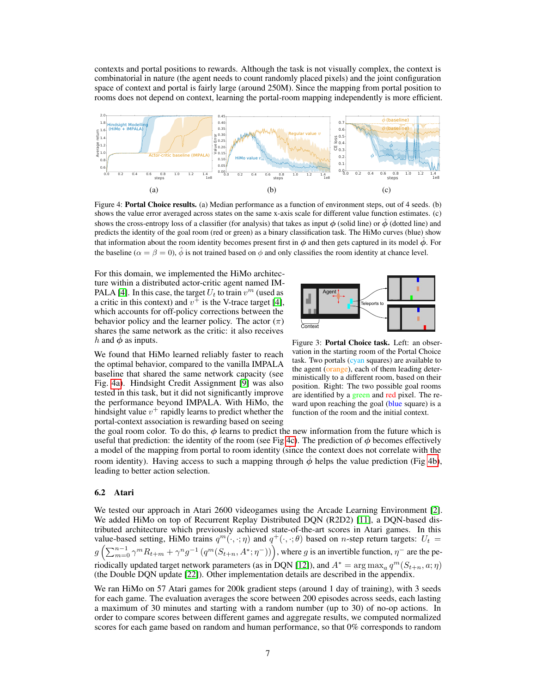contexts and portal positions to rewards. Although the task is not visually complex, the context is combinatorial in nature (the agent needs to count randomly placed pixels) and the joint configuration space of context and portal is fairly large (around 250M). Since the mapping from portal position to rooms does not depend on context, learning the portal-room mapping independently is more efficient.

<span id="page-6-1"></span>

Figure 4: Portal Choice results. (a) Median performance as a function of environment steps, out of 4 seeds. (b) shows the value error averaged across states on the same x-axis scale for different value function estimates. (c) shows the cross-entropy loss of a classifier (for analysis) that takes as input  $\phi$  (solid line) or  $\phi$  (dotted line) and predicts the identity of the goal room (red or green) as a binary classification task. The HiMo curves (blue) show that information about the room identity becomes present first in  $\phi$  and then gets captured in its model  $\dot{\phi}$ . For the baseline ( $\alpha = \beta = 0$ ),  $\hat{\phi}$  is not trained based on  $\phi$  and only classifies the room identity at chance level.

For this domain, we implemented the HiMo architecture within a distributed actor-critic agent named IM-PALA [\[4\]](#page-9-10). In this case, the target  $U_t$  to train  $v^m$  (used as a critic in this context) and  $v^{\dagger}$  is the V-trace target [\[4\]](#page-9-10), which accounts for off-policy corrections between the behavior policy and the learner policy. The actor  $(\pi)$ shares the same network as the critic: it also receives h and  $\ddot{\phi}$  as inputs.

<span id="page-6-0"></span>

We found that HiMo learned reliably faster to reach the optimal behavior, compared to the vanilla IMPALA baseline that shared the same network capacity (see Fig. [4a\)](#page-6-1). Hindsight Credit Assignment [\[9\]](#page-9-8) was also tested in this task, but it did not significantly improve the performance beyond IMPALA. With HiMo, the hindsight value  $v^{+}$  rapidly learns to predict whether the portal-context association is rewarding based on seeing

Figure 3: Portal Choice task. Left: an observation in the starting room of the Portal Choice task. Two portals (cyan squares) are available to the agent (orange), each of them leading deterministically to a different room, based on their position. Right: The two possible goal rooms are identified by a green and red pixel. The reward upon reaching the goal (blue square) is a function of the room and the initial context.

the goal room color. To do this,  $\phi$  learns to predict the new information from the future which is useful that prediction: the identity of the room (see Fig [4c\)](#page-6-1). The prediction of  $\phi$  becomes effectively a model of the mapping from portal to room identity (since the context does not correlate with the room identity). Having access to such a mapping through  $\hat{\phi}$  helps the value prediction (Fig [4b\)](#page-6-1), leading to better action selection.

#### 6.2 Atari

We tested our approach in Atari 2600 videogames using the Arcade Learning Environment [\[2\]](#page-9-11). We added HiMo on top of Recurrent Replay Distributed DQN (R2D2) [\[11\]](#page-9-3), a DQN-based distributed architecture which previously achieved state-of-the-art scores in Atari games. In this value-based setting, HiMo trains  $q^m(\cdot,\cdot;\eta)$  and  $q^+(\cdot,\cdot;\theta)$  based on *n*-step return targets:  $U_t =$  $g\left(\sum_{m=0}^{n-1}\gamma^mR_{t+m}+\gamma^ng^{-1}\left(q^m(S_{t+n},A^*;\eta^-)\right)\right)$ , where g is an invertible function,  $\eta^-$  are the pe-riodically updated target network parameters (as in DQN [\[12\]](#page-9-0)), and  $A^* = \arg \max_a q^m(S_{t+n}, a; \eta)$ (the Double DQN update [\[22\]](#page-10-13)). Other implementation details are described in the appendix.

We ran HiMo on 57 Atari games for 200k gradient steps (around 1 day of training), with 3 seeds for each game. The evaluation averages the score between 200 episodes across seeds, each lasting a maximum of 30 minutes and starting with a random number (up to 30) of no-op actions. In order to compare scores between different games and aggregate results, we computed normalized scores for each game based on random and human performance, so that 0% corresponds to random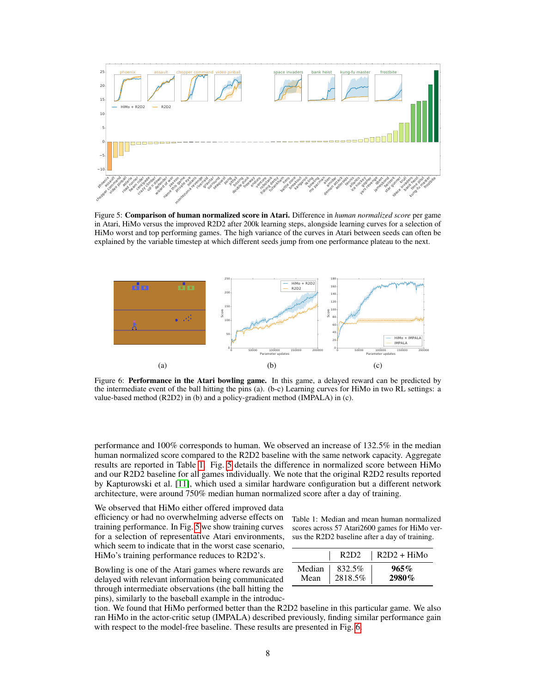<span id="page-7-1"></span>

Figure 5: Comparison of human normalized score in Atari. Difference in *human normalized score* per game in Atari, HiMo versus the improved R2D2 after 200k learning steps, alongside learning curves for a selection of HiMo worst and top performing games. The high variance of the curves in Atari between seeds can often be explained by the variable timestep at which different seeds jump from one performance plateau to the next.

<span id="page-7-2"></span>

Figure 6: Performance in the Atari bowling game. In this game, a delayed reward can be predicted by the intermediate event of the ball hitting the pins (a). (b-c) Learning curves for HiMo in two RL settings: a value-based method (R2D2) in (b) and a policy-gradient method (IMPALA) in (c).

performance and 100% corresponds to human. We observed an increase of 132.5% in the median human normalized score compared to the R2D2 baseline with the same network capacity. Aggregate results are reported in Table [1.](#page-7-0) Fig. [5](#page-7-1) details the difference in normalized score between HiMo and our R2D2 baseline for all games individually. We note that the original R2D2 results reported by Kapturowski et al. [\[11\]](#page-9-3), which used a similar hardware configuration but a different network architecture, were around 750% median human normalized score after a day of training.

We observed that HiMo either offered improved data efficiency or had no overwhelming adverse effects on training performance. In Fig. [5](#page-7-1) we show training curves for a selection of representative Atari environments, which seem to indicate that in the worst case scenario, HiMo's training performance reduces to R2D2's.

Bowling is one of the Atari games where rewards are delayed with relevant information being communicated through intermediate observations (the ball hitting the <span id="page-7-0"></span>Table 1: Median and mean human normalized scores across 57 Atari2600 games for HiMo versus the R2D2 baseline after a day of training.

|        | R2D2    | $R2D2 + HiMo$ |
|--------|---------|---------------|
| Median | 832.5%  | $965\%$       |
| Mean   | 2818.5% | 2980%         |

pins), similarly to the baseball example in the introduction. We found that HiMo performed better than the R2D2 baseline in this particular game. We also ran HiMo in the actor-critic setup (IMPALA) described previously, finding similar performance gain

with respect to the model-free baseline. These results are presented in Fig. [6.](#page-7-2)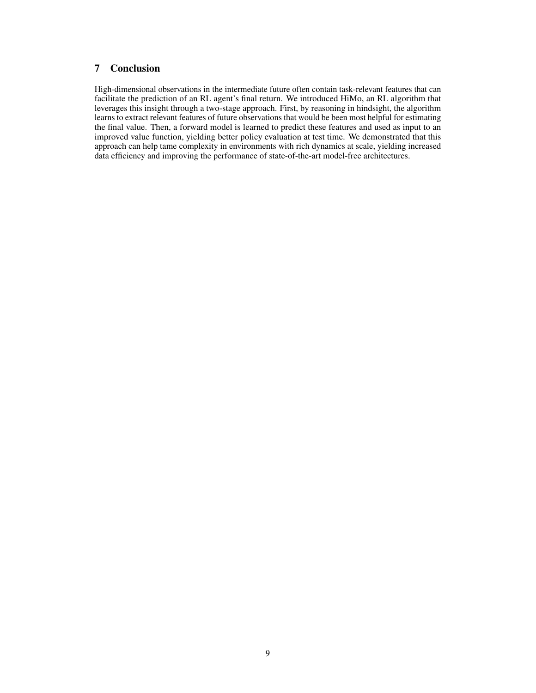## 7 Conclusion

High-dimensional observations in the intermediate future often contain task-relevant features that can facilitate the prediction of an RL agent's final return. We introduced HiMo, an RL algorithm that leverages this insight through a two-stage approach. First, by reasoning in hindsight, the algorithm learns to extract relevant features of future observations that would be been most helpful for estimating the final value. Then, a forward model is learned to predict these features and used as input to an improved value function, yielding better policy evaluation at test time. We demonstrated that this approach can help tame complexity in environments with rich dynamics at scale, yielding increased data efficiency and improving the performance of state-of-the-art model-free architectures.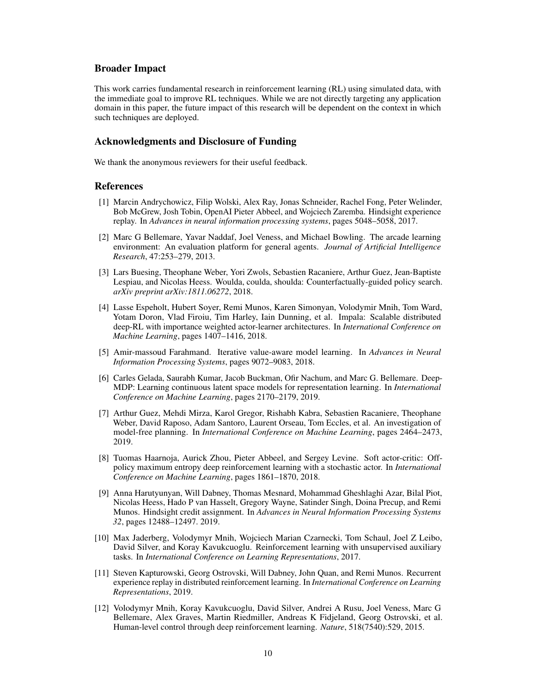### Broader Impact

This work carries fundamental research in reinforcement learning (RL) using simulated data, with the immediate goal to improve RL techniques. While we are not directly targeting any application domain in this paper, the future impact of this research will be dependent on the context in which such techniques are deployed.

## Acknowledgments and Disclosure of Funding

We thank the anonymous reviewers for their useful feedback.

#### References

- <span id="page-9-9"></span>[1] Marcin Andrychowicz, Filip Wolski, Alex Ray, Jonas Schneider, Rachel Fong, Peter Welinder, Bob McGrew, Josh Tobin, OpenAI Pieter Abbeel, and Wojciech Zaremba. Hindsight experience replay. In *Advances in neural information processing systems*, pages 5048–5058, 2017.
- <span id="page-9-11"></span>[2] Marc G Bellemare, Yavar Naddaf, Joel Veness, and Michael Bowling. The arcade learning environment: An evaluation platform for general agents. *Journal of Artificial Intelligence Research*, 47:253–279, 2013.
- <span id="page-9-6"></span>[3] Lars Buesing, Theophane Weber, Yori Zwols, Sebastien Racaniere, Arthur Guez, Jean-Baptiste Lespiau, and Nicolas Heess. Woulda, coulda, shoulda: Counterfactually-guided policy search. *arXiv preprint arXiv:1811.06272*, 2018.
- <span id="page-9-10"></span>[4] Lasse Espeholt, Hubert Soyer, Remi Munos, Karen Simonyan, Volodymir Mnih, Tom Ward, Yotam Doron, Vlad Firoiu, Tim Harley, Iain Dunning, et al. Impala: Scalable distributed deep-RL with importance weighted actor-learner architectures. In *International Conference on Machine Learning*, pages 1407–1416, 2018.
- <span id="page-9-7"></span>[5] Amir-massoud Farahmand. Iterative value-aware model learning. In *Advances in Neural Information Processing Systems*, pages 9072–9083, 2018.
- <span id="page-9-4"></span>[6] Carles Gelada, Saurabh Kumar, Jacob Buckman, Ofir Nachum, and Marc G. Bellemare. Deep-MDP: Learning continuous latent space models for representation learning. In *International Conference on Machine Learning*, pages 2170–2179, 2019.
- <span id="page-9-2"></span>[7] Arthur Guez, Mehdi Mirza, Karol Gregor, Rishabh Kabra, Sebastien Racaniere, Theophane Weber, David Raposo, Adam Santoro, Laurent Orseau, Tom Eccles, et al. An investigation of model-free planning. In *International Conference on Machine Learning*, pages 2464–2473, 2019.
- <span id="page-9-1"></span>[8] Tuomas Haarnoja, Aurick Zhou, Pieter Abbeel, and Sergey Levine. Soft actor-critic: Offpolicy maximum entropy deep reinforcement learning with a stochastic actor. In *International Conference on Machine Learning*, pages 1861–1870, 2018.
- <span id="page-9-8"></span>[9] Anna Harutyunyan, Will Dabney, Thomas Mesnard, Mohammad Gheshlaghi Azar, Bilal Piot, Nicolas Heess, Hado P van Hasselt, Gregory Wayne, Satinder Singh, Doina Precup, and Remi Munos. Hindsight credit assignment. In *Advances in Neural Information Processing Systems 32*, pages 12488–12497. 2019.
- <span id="page-9-5"></span>[10] Max Jaderberg, Volodymyr Mnih, Wojciech Marian Czarnecki, Tom Schaul, Joel Z Leibo, David Silver, and Koray Kavukcuoglu. Reinforcement learning with unsupervised auxiliary tasks. In *International Conference on Learning Representations*, 2017.
- <span id="page-9-3"></span>[11] Steven Kapturowski, Georg Ostrovski, Will Dabney, John Quan, and Remi Munos. Recurrent experience replay in distributed reinforcement learning. In *International Conference on Learning Representations*, 2019.
- <span id="page-9-0"></span>[12] Volodymyr Mnih, Koray Kavukcuoglu, David Silver, Andrei A Rusu, Joel Veness, Marc G Bellemare, Alex Graves, Martin Riedmiller, Andreas K Fidjeland, Georg Ostrovski, et al. Human-level control through deep reinforcement learning. *Nature*, 518(7540):529, 2015.